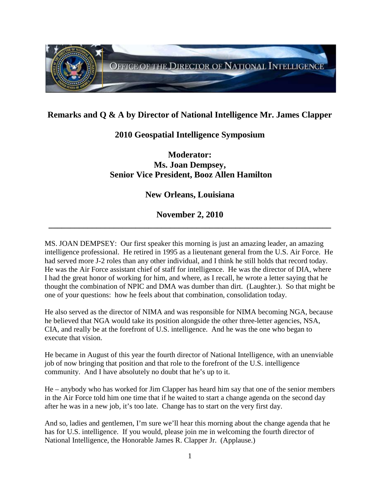

## **Remarks and Q & A by Director of National Intelligence Mr. James Clapper**

## **2010 Geospatial Intelligence Symposium**

**Moderator: Ms. Joan Dempsey, Senior Vice President, Booz Allen Hamilton**

## **New Orleans, Louisiana**

## **November 2, 2010 \_\_\_\_\_\_\_\_\_\_\_\_\_\_\_\_\_\_\_\_\_\_\_\_\_\_\_\_\_\_\_\_\_\_\_\_\_\_\_\_\_\_\_\_\_\_\_\_\_\_\_\_\_\_\_\_\_\_\_\_\_\_\_\_\_**

MS. JOAN DEMPSEY: Our first speaker this morning is just an amazing leader, an amazing intelligence professional. He retired in 1995 as a lieutenant general from the U.S. Air Force. He had served more J-2 roles than any other individual, and I think he still holds that record today. He was the Air Force assistant chief of staff for intelligence. He was the director of DIA, where I had the great honor of working for him, and where, as I recall, he wrote a letter saying that he thought the combination of NPIC and DMA was dumber than dirt. (Laughter.). So that might be one of your questions: how he feels about that combination, consolidation today.

He also served as the director of NIMA and was responsible for NIMA becoming NGA, because he believed that NGA would take its position alongside the other three-letter agencies, NSA, CIA, and really be at the forefront of U.S. intelligence. And he was the one who began to execute that vision.

He became in August of this year the fourth director of National Intelligence, with an unenviable job of now bringing that position and that role to the forefront of the U.S. intelligence community. And I have absolutely no doubt that he's up to it.

He – anybody who has worked for Jim Clapper has heard him say that one of the senior members in the Air Force told him one time that if he waited to start a change agenda on the second day after he was in a new job, it's too late. Change has to start on the very first day.

And so, ladies and gentlemen, I'm sure we'll hear this morning about the change agenda that he has for U.S. intelligence. If you would, please join me in welcoming the fourth director of National Intelligence, the Honorable James R. Clapper Jr. (Applause.)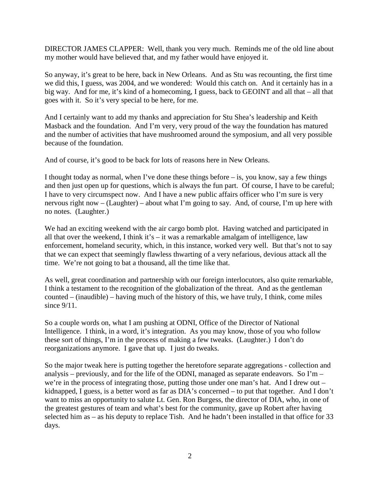DIRECTOR JAMES CLAPPER: Well, thank you very much. Reminds me of the old line about my mother would have believed that, and my father would have enjoyed it.

So anyway, it's great to be here, back in New Orleans. And as Stu was recounting, the first time we did this, I guess, was 2004, and we wondered: Would this catch on. And it certainly has in a big way. And for me, it's kind of a homecoming, I guess, back to GEOINT and all that – all that goes with it. So it's very special to be here, for me.

And I certainly want to add my thanks and appreciation for Stu Shea's leadership and Keith Masback and the foundation. And I'm very, very proud of the way the foundation has matured and the number of activities that have mushroomed around the symposium, and all very possible because of the foundation.

And of course, it's good to be back for lots of reasons here in New Orleans.

I thought today as normal, when I've done these things before  $-$  is, you know, say a few things and then just open up for questions, which is always the fun part. Of course, I have to be careful; I have to very circumspect now. And I have a new public affairs officer who I'm sure is very nervous right now – (Laughter) – about what I'm going to say. And, of course, I'm up here with no notes. (Laughter.)

We had an exciting weekend with the air cargo bomb plot. Having watched and participated in all that over the weekend, I think it's – it was a remarkable amalgam of intelligence, law enforcement, homeland security, which, in this instance, worked very well. But that's not to say that we can expect that seemingly flawless thwarting of a very nefarious, devious attack all the time. We're not going to bat a thousand, all the time like that.

As well, great coordination and partnership with our foreign interlocutors, also quite remarkable, I think a testament to the recognition of the globalization of the threat. And as the gentleman counted – (inaudible) – having much of the history of this, we have truly, I think, come miles since  $9/11$ .

So a couple words on, what I am pushing at ODNI, Office of the Director of National Intelligence. I think, in a word, it's integration. As you may know, those of you who follow these sort of things, I'm in the process of making a few tweaks. (Laughter.) I don't do reorganizations anymore. I gave that up. I just do tweaks.

So the major tweak here is putting together the heretofore separate aggregations - collection and analysis – previously, and for the life of the ODNI, managed as separate endeavors. So  $\Gamma m$  – we're in the process of integrating those, putting those under one man's hat. And I drew out – kidnapped, I guess, is a better word as far as DIA's concerned – to put that together. And I don't want to miss an opportunity to salute Lt. Gen. Ron Burgess, the director of DIA, who, in one of the greatest gestures of team and what's best for the community, gave up Robert after having selected him as – as his deputy to replace Tish. And he hadn't been installed in that office for 33 days.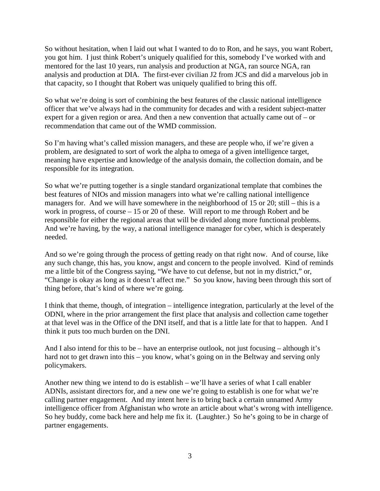So without hesitation, when I laid out what I wanted to do to Ron, and he says, you want Robert, you got him. I just think Robert's uniquely qualified for this, somebody I've worked with and mentored for the last 10 years, run analysis and production at NGA, ran source NGA, ran analysis and production at DIA. The first-ever civilian J2 from JCS and did a marvelous job in that capacity, so I thought that Robert was uniquely qualified to bring this off.

So what we're doing is sort of combining the best features of the classic national intelligence officer that we've always had in the community for decades and with a resident subject-matter expert for a given region or area. And then a new convention that actually came out of – or recommendation that came out of the WMD commission.

So I'm having what's called mission managers, and these are people who, if we're given a problem, are designated to sort of work the alpha to omega of a given intelligence target, meaning have expertise and knowledge of the analysis domain, the collection domain, and be responsible for its integration.

So what we're putting together is a single standard organizational template that combines the best features of NIOs and mission managers into what we're calling national intelligence managers for. And we will have somewhere in the neighborhood of 15 or 20; still – this is a work in progress, of course – 15 or 20 of these. Will report to me through Robert and be responsible for either the regional areas that will be divided along more functional problems. And we're having, by the way, a national intelligence manager for cyber, which is desperately needed.

And so we're going through the process of getting ready on that right now. And of course, like any such change, this has, you know, angst and concern to the people involved. Kind of reminds me a little bit of the Congress saying, "We have to cut defense, but not in my district," or, "Change is okay as long as it doesn't affect me." So you know, having been through this sort of thing before, that's kind of where we're going.

I think that theme, though, of integration – intelligence integration, particularly at the level of the ODNI, where in the prior arrangement the first place that analysis and collection came together at that level was in the Office of the DNI itself, and that is a little late for that to happen. And I think it puts too much burden on the DNI.

And I also intend for this to be – have an enterprise outlook, not just focusing – although it's hard not to get drawn into this – you know, what's going on in the Beltway and serving only policymakers.

Another new thing we intend to do is establish – we'll have a series of what I call enabler ADNIs, assistant directors for, and a new one we're going to establish is one for what we're calling partner engagement. And my intent here is to bring back a certain unnamed Army intelligence officer from Afghanistan who wrote an article about what's wrong with intelligence. So hey buddy, come back here and help me fix it. (Laughter.) So he's going to be in charge of partner engagements.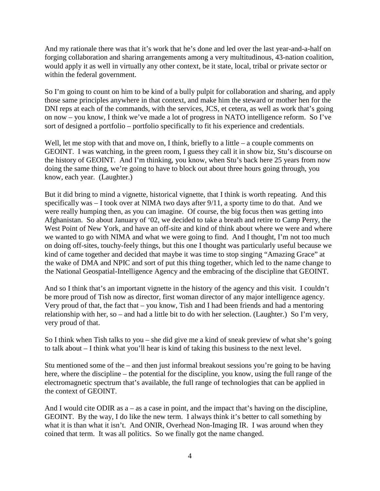And my rationale there was that it's work that he's done and led over the last year-and-a-half on forging collaboration and sharing arrangements among a very multitudinous, 43-nation coalition, would apply it as well in virtually any other context, be it state, local, tribal or private sector or within the federal government.

So I'm going to count on him to be kind of a bully pulpit for collaboration and sharing, and apply those same principles anywhere in that context, and make him the steward or mother hen for the DNI reps at each of the commands, with the services, JCS, et cetera, as well as work that's going on now – you know, I think we've made a lot of progress in NATO intelligence reform. So I've sort of designed a portfolio – portfolio specifically to fit his experience and credentials.

Well, let me stop with that and move on, I think, briefly to a little – a couple comments on GEOINT. I was watching, in the green room, I guess they call it in show biz, Stu's discourse on the history of GEOINT. And I'm thinking, you know, when Stu's back here 25 years from now doing the same thing, we're going to have to block out about three hours going through, you know, each year. (Laughter.)

But it did bring to mind a vignette, historical vignette, that I think is worth repeating. And this specifically was – I took over at NIMA two days after 9/11, a sporty time to do that. And we were really humping then, as you can imagine. Of course, the big focus then was getting into Afghanistan. So about January of '02, we decided to take a breath and retire to Camp Perry, the West Point of New York, and have an off-site and kind of think about where we were and where we wanted to go with NIMA and what we were going to find. And I thought, I'm not too much on doing off-sites, touchy-feely things, but this one I thought was particularly useful because we kind of came together and decided that maybe it was time to stop singing "Amazing Grace" at the wake of DMA and NPIC and sort of put this thing together, which led to the name change to the National Geospatial-Intelligence Agency and the embracing of the discipline that GEOINT.

And so I think that's an important vignette in the history of the agency and this visit. I couldn't be more proud of Tish now as director, first woman director of any major intelligence agency. Very proud of that, the fact that – you know, Tish and I had been friends and had a mentoring relationship with her, so – and had a little bit to do with her selection. (Laughter.) So I'm very, very proud of that.

So I think when Tish talks to you – she did give me a kind of sneak preview of what she's going to talk about – I think what you'll hear is kind of taking this business to the next level.

Stu mentioned some of the – and then just informal breakout sessions you're going to be having here, where the discipline – the potential for the discipline, you know, using the full range of the electromagnetic spectrum that's available, the full range of technologies that can be applied in the context of GEOINT.

And I would cite ODIR as  $a - as a case$  in point, and the impact that's having on the discipline, GEOINT. By the way, I do like the new term. I always think it's better to call something by what it is than what it isn't. And ONIR, Overhead Non-Imaging IR. I was around when they coined that term. It was all politics. So we finally got the name changed.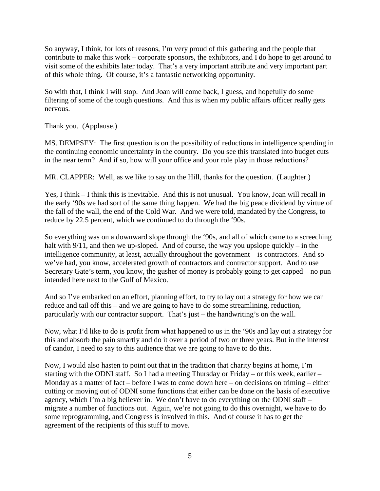So anyway, I think, for lots of reasons, I'm very proud of this gathering and the people that contribute to make this work – corporate sponsors, the exhibitors, and I do hope to get around to visit some of the exhibits later today. That's a very important attribute and very important part of this whole thing. Of course, it's a fantastic networking opportunity.

So with that, I think I will stop. And Joan will come back, I guess, and hopefully do some filtering of some of the tough questions. And this is when my public affairs officer really gets nervous.

Thank you. (Applause.)

MS. DEMPSEY: The first question is on the possibility of reductions in intelligence spending in the continuing economic uncertainty in the country. Do you see this translated into budget cuts in the near term? And if so, how will your office and your role play in those reductions?

MR. CLAPPER: Well, as we like to say on the Hill, thanks for the question. (Laughter.)

Yes, I think – I think this is inevitable. And this is not unusual. You know, Joan will recall in the early '90s we had sort of the same thing happen. We had the big peace dividend by virtue of the fall of the wall, the end of the Cold War. And we were told, mandated by the Congress, to reduce by 22.5 percent, which we continued to do through the '90s.

So everything was on a downward slope through the '90s, and all of which came to a screeching halt with  $9/11$ , and then we up-sloped. And of course, the way you upslope quickly – in the intelligence community, at least, actually throughout the government – is contractors. And so we've had, you know, accelerated growth of contractors and contractor support. And to use Secretary Gate's term, you know, the gusher of money is probably going to get capped – no pun intended here next to the Gulf of Mexico.

And so I've embarked on an effort, planning effort, to try to lay out a strategy for how we can reduce and tail off this – and we are going to have to do some streamlining, reduction, particularly with our contractor support. That's just – the handwriting's on the wall.

Now, what I'd like to do is profit from what happened to us in the '90s and lay out a strategy for this and absorb the pain smartly and do it over a period of two or three years. But in the interest of candor, I need to say to this audience that we are going to have to do this.

Now, I would also hasten to point out that in the tradition that charity begins at home, I'm starting with the ODNI staff. So I had a meeting Thursday or Friday – or this week, earlier – Monday as a matter of fact – before I was to come down here – on decisions on triming – either cutting or moving out of ODNI some functions that either can be done on the basis of executive agency, which I'm a big believer in. We don't have to do everything on the ODNI staff – migrate a number of functions out. Again, we're not going to do this overnight, we have to do some reprogramming, and Congress is involved in this. And of course it has to get the agreement of the recipients of this stuff to move.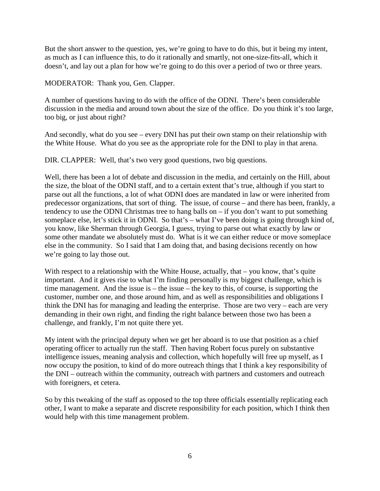But the short answer to the question, yes, we're going to have to do this, but it being my intent, as much as I can influence this, to do it rationally and smartly, not one-size-fits-all, which it doesn't, and lay out a plan for how we're going to do this over a period of two or three years.

MODERATOR: Thank you, Gen. Clapper.

A number of questions having to do with the office of the ODNI. There's been considerable discussion in the media and around town about the size of the office. Do you think it's too large, too big, or just about right?

And secondly, what do you see – every DNI has put their own stamp on their relationship with the White House. What do you see as the appropriate role for the DNI to play in that arena.

DIR. CLAPPER: Well, that's two very good questions, two big questions.

Well, there has been a lot of debate and discussion in the media, and certainly on the Hill, about the size, the bloat of the ODNI staff, and to a certain extent that's true, although if you start to parse out all the functions, a lot of what ODNI does are mandated in law or were inherited from predecessor organizations, that sort of thing. The issue, of course – and there has been, frankly, a tendency to use the ODNI Christmas tree to hang balls on – if you don't want to put something someplace else, let's stick it in ODNI. So that's – what I've been doing is going through kind of, you know, like Sherman through Georgia, I guess, trying to parse out what exactly by law or some other mandate we absolutely must do. What is it we can either reduce or move someplace else in the community. So I said that I am doing that, and basing decisions recently on how we're going to lay those out.

With respect to a relationship with the White House, actually, that – you know, that's quite important. And it gives rise to what I'm finding personally is my biggest challenge, which is time management. And the issue is  $-$  the issue  $-$  the key to this, of course, is supporting the customer, number one, and those around him, and as well as responsibilities and obligations I think the DNI has for managing and leading the enterprise. Those are two very – each are very demanding in their own right, and finding the right balance between those two has been a challenge, and frankly, I'm not quite there yet.

My intent with the principal deputy when we get her aboard is to use that position as a chief operating officer to actually run the staff. Then having Robert focus purely on substantive intelligence issues, meaning analysis and collection, which hopefully will free up myself, as I now occupy the position, to kind of do more outreach things that I think a key responsibility of the DNI – outreach within the community, outreach with partners and customers and outreach with foreigners, et cetera.

So by this tweaking of the staff as opposed to the top three officials essentially replicating each other, I want to make a separate and discrete responsibility for each position, which I think then would help with this time management problem.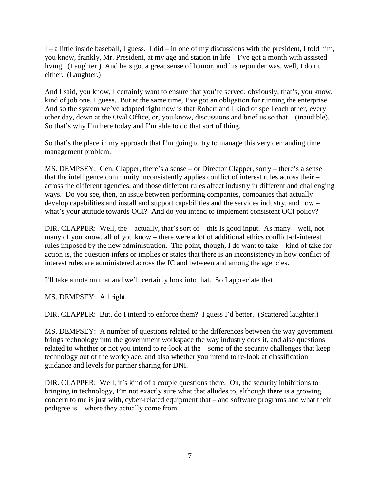I – a little inside baseball, I guess. I did – in one of my discussions with the president, I told him, you know, frankly, Mr. President, at my age and station in life – I've got a month with assisted living. (Laughter.) And he's got a great sense of humor, and his rejoinder was, well, I don't either. (Laughter.)

And I said, you know, I certainly want to ensure that you're served; obviously, that's, you know, kind of job one, I guess. But at the same time, I've got an obligation for running the enterprise. And so the system we've adapted right now is that Robert and I kind of spell each other, every other day, down at the Oval Office, or, you know, discussions and brief us so that – (inaudible). So that's why I'm here today and I'm able to do that sort of thing.

So that's the place in my approach that I'm going to try to manage this very demanding time management problem.

MS. DEMPSEY: Gen. Clapper, there's a sense – or Director Clapper, sorry – there's a sense that the intelligence community inconsistently applies conflict of interest rules across their – across the different agencies, and those different rules affect industry in different and challenging ways. Do you see, then, an issue between performing companies, companies that actually develop capabilities and install and support capabilities and the services industry, and how – what's your attitude towards OCI? And do you intend to implement consistent OCI policy?

DIR. CLAPPER: Well, the – actually, that's sort of – this is good input. As many – well, not many of you know, all of you know – there were a lot of additional ethics conflict-of-interest rules imposed by the new administration. The point, though, I do want to take – kind of take for action is, the question infers or implies or states that there is an inconsistency in how conflict of interest rules are administered across the IC and between and among the agencies.

I'll take a note on that and we'll certainly look into that. So I appreciate that.

MS. DEMPSEY: All right.

DIR. CLAPPER: But, do I intend to enforce them? I guess I'd better. (Scattered laughter.)

MS. DEMPSEY: A number of questions related to the differences between the way government brings technology into the government workspace the way industry does it, and also questions related to whether or not you intend to re-look at the – some of the security challenges that keep technology out of the workplace, and also whether you intend to re-look at classification guidance and levels for partner sharing for DNI.

DIR. CLAPPER: Well, it's kind of a couple questions there. On, the security inhibitions to bringing in technology, I'm not exactly sure what that alludes to, although there is a growing concern to me is just with, cyber-related equipment that – and software programs and what their pedigree is – where they actually come from.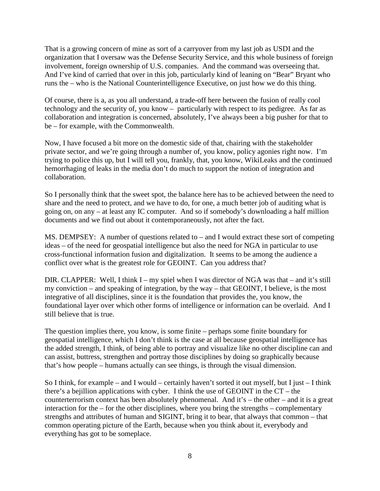That is a growing concern of mine as sort of a carryover from my last job as USDI and the organization that I oversaw was the Defense Security Service, and this whole business of foreign involvement, foreign ownership of U.S. companies. And the command was overseeing that. And I've kind of carried that over in this job, particularly kind of leaning on "Bear" Bryant who runs the – who is the National Counterintelligence Executive, on just how we do this thing.

Of course, there is a, as you all understand, a trade-off here between the fusion of really cool technology and the security of, you know – particularly with respect to its pedigree. As far as collaboration and integration is concerned, absolutely, I've always been a big pusher for that to be – for example, with the Commonwealth.

Now, I have focused a bit more on the domestic side of that, chairing with the stakeholder private sector, and we're going through a number of, you know, policy agonies right now. I'm trying to police this up, but I will tell you, frankly, that, you know, WikiLeaks and the continued hemorrhaging of leaks in the media don't do much to support the notion of integration and collaboration.

So I personally think that the sweet spot, the balance here has to be achieved between the need to share and the need to protect, and we have to do, for one, a much better job of auditing what is going on, on any – at least any IC computer. And so if somebody's downloading a half million documents and we find out about it contemporaneously, not after the fact.

MS. DEMPSEY: A number of questions related to – and I would extract these sort of competing ideas – of the need for geospatial intelligence but also the need for NGA in particular to use cross-functional information fusion and digitalization. It seems to be among the audience a conflict over what is the greatest role for GEOINT. Can you address that?

DIR. CLAPPER: Well, I think I – my spiel when I was director of NGA was that – and it's still my conviction – and speaking of integration, by the way – that GEOINT, I believe, is the most integrative of all disciplines, since it is the foundation that provides the, you know, the foundational layer over which other forms of intelligence or information can be overlaid. And I still believe that is true.

The question implies there, you know, is some finite – perhaps some finite boundary for geospatial intelligence, which I don't think is the case at all because geospatial intelligence has the added strength, I think, of being able to portray and visualize like no other discipline can and can assist, buttress, strengthen and portray those disciplines by doing so graphically because that's how people – humans actually can see things, is through the visual dimension.

So I think, for example – and I would – certainly haven't sorted it out myself, but I just – I think there's a bejillion applications with cyber. I think the use of GEOINT in the CT – the counterterrorism context has been absolutely phenomenal. And it's – the other – and it is a great interaction for the – for the other disciplines, where you bring the strengths – complementary strengths and attributes of human and SIGINT, bring it to bear, that always that common – that common operating picture of the Earth, because when you think about it, everybody and everything has got to be someplace.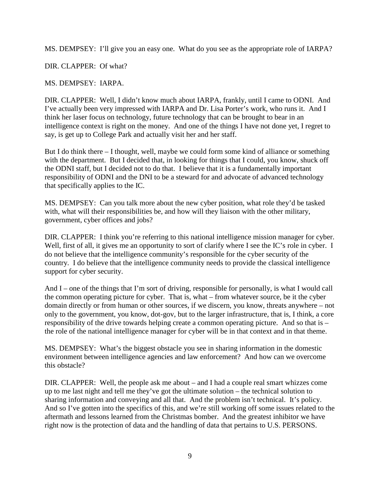MS. DEMPSEY: I'll give you an easy one. What do you see as the appropriate role of IARPA?

DIR. CLAPPER: Of what?

MS. DEMPSEY: IARPA.

DIR. CLAPPER: Well, I didn't know much about IARPA, frankly, until I came to ODNI. And I've actually been very impressed with IARPA and Dr. Lisa Porter's work, who runs it. And I think her laser focus on technology, future technology that can be brought to bear in an intelligence context is right on the money. And one of the things I have not done yet, I regret to say, is get up to College Park and actually visit her and her staff.

But I do think there – I thought, well, maybe we could form some kind of alliance or something with the department. But I decided that, in looking for things that I could, you know, shuck off the ODNI staff, but I decided not to do that. I believe that it is a fundamentally important responsibility of ODNI and the DNI to be a steward for and advocate of advanced technology that specifically applies to the IC.

MS. DEMPSEY: Can you talk more about the new cyber position, what role they'd be tasked with, what will their responsibilities be, and how will they liaison with the other military, government, cyber offices and jobs?

DIR. CLAPPER: I think you're referring to this national intelligence mission manager for cyber. Well, first of all, it gives me an opportunity to sort of clarify where I see the IC's role in cyber. I do not believe that the intelligence community's responsible for the cyber security of the country. I do believe that the intelligence community needs to provide the classical intelligence support for cyber security.

And I – one of the things that I'm sort of driving, responsible for personally, is what I would call the common operating picture for cyber. That is, what – from whatever source, be it the cyber domain directly or from human or other sources, if we discern, you know, threats anywhere – not only to the government, you know, dot-gov, but to the larger infrastructure, that is, I think, a core responsibility of the drive towards helping create a common operating picture. And so that is – the role of the national intelligence manager for cyber will be in that context and in that theme.

MS. DEMPSEY: What's the biggest obstacle you see in sharing information in the domestic environment between intelligence agencies and law enforcement? And how can we overcome this obstacle?

DIR. CLAPPER: Well, the people ask me about – and I had a couple real smart whizzes come up to me last night and tell me they've got the ultimate solution – the technical solution to sharing information and conveying and all that. And the problem isn't technical. It's policy. And so I've gotten into the specifics of this, and we're still working off some issues related to the aftermath and lessons learned from the Christmas bomber. And the greatest inhibitor we have right now is the protection of data and the handling of data that pertains to U.S. PERSONS.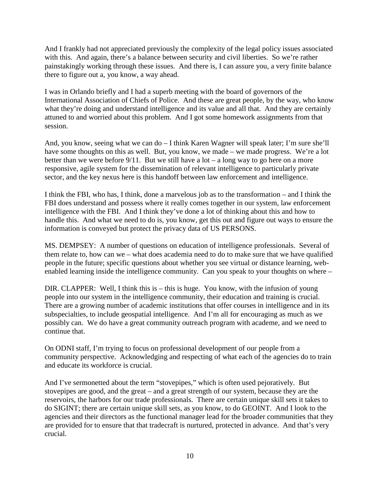And I frankly had not appreciated previously the complexity of the legal policy issues associated with this. And again, there's a balance between security and civil liberties. So we're rather painstakingly working through these issues. And there is, I can assure you, a very finite balance there to figure out a, you know, a way ahead.

I was in Orlando briefly and I had a superb meeting with the board of governors of the International Association of Chiefs of Police. And these are great people, by the way, who know what they're doing and understand intelligence and its value and all that. And they are certainly attuned to and worried about this problem. And I got some homework assignments from that session.

And, you know, seeing what we can do – I think Karen Wagner will speak later; I'm sure she'll have some thoughts on this as well. But, you know, we made – we made progress. We're a lot better than we were before  $9/11$ . But we still have a lot – a long way to go here on a more responsive, agile system for the dissemination of relevant intelligence to particularly private sector, and the key nexus here is this handoff between law enforcement and intelligence.

I think the FBI, who has, I think, done a marvelous job as to the transformation – and I think the FBI does understand and possess where it really comes together in our system, law enforcement intelligence with the FBI. And I think they've done a lot of thinking about this and how to handle this. And what we need to do is, you know, get this out and figure out ways to ensure the information is conveyed but protect the privacy data of US PERSONS.

MS. DEMPSEY: A number of questions on education of intelligence professionals. Several of them relate to, how can we – what does academia need to do to make sure that we have qualified people in the future; specific questions about whether you see virtual or distance learning, webenabled learning inside the intelligence community. Can you speak to your thoughts on where –

DIR. CLAPPER: Well, I think this is – this is huge. You know, with the infusion of young people into our system in the intelligence community, their education and training is crucial. There are a growing number of academic institutions that offer courses in intelligence and in its subspecialties, to include geospatial intelligence. And I'm all for encouraging as much as we possibly can. We do have a great community outreach program with academe, and we need to continue that.

On ODNI staff, I'm trying to focus on professional development of our people from a community perspective. Acknowledging and respecting of what each of the agencies do to train and educate its workforce is crucial.

And I've sermonetted about the term "stovepipes," which is often used pejoratively. But stovepipes are good, and the great – and a great strength of our system, because they are the reservoirs, the harbors for our trade professionals. There are certain unique skill sets it takes to do SIGINT; there are certain unique skill sets, as you know, to do GEOINT. And I look to the agencies and their directors as the functional manager lead for the broader communities that they are provided for to ensure that that tradecraft is nurtured, protected in advance. And that's very crucial.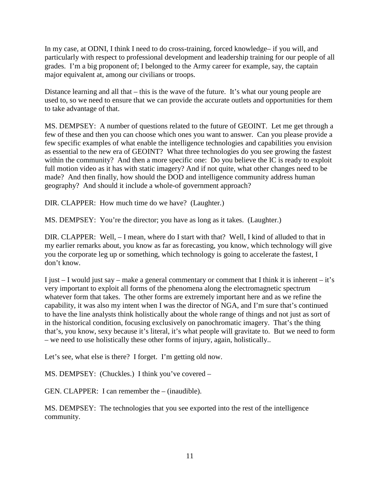In my case, at ODNI, I think I need to do cross-training, forced knowledge– if you will, and particularly with respect to professional development and leadership training for our people of all grades. I'm a big proponent of; I belonged to the Army career for example, say, the captain major equivalent at, among our civilians or troops.

Distance learning and all that – this is the wave of the future. It's what our young people are used to, so we need to ensure that we can provide the accurate outlets and opportunities for them to take advantage of that.

MS. DEMPSEY: A number of questions related to the future of GEOINT. Let me get through a few of these and then you can choose which ones you want to answer. Can you please provide a few specific examples of what enable the intelligence technologies and capabilities you envision as essential to the new era of GEOINT? What three technologies do you see growing the fastest within the community? And then a more specific one: Do you believe the IC is ready to exploit full motion video as it has with static imagery? And if not quite, what other changes need to be made? And then finally, how should the DOD and intelligence community address human geography? And should it include a whole-of government approach?

DIR. CLAPPER: How much time do we have? (Laughter.)

MS. DEMPSEY: You're the director; you have as long as it takes. (Laughter.)

DIR. CLAPPER: Well, – I mean, where do I start with that? Well, I kind of alluded to that in my earlier remarks about, you know as far as forecasting, you know, which technology will give you the corporate leg up or something, which technology is going to accelerate the fastest, I don't know.

I just  $-$  I would just say – make a general commentary or comment that I think it is inherent – it's very important to exploit all forms of the phenomena along the electromagnetic spectrum whatever form that takes. The other forms are extremely important here and as we refine the capability, it was also my intent when I was the director of NGA, and I'm sure that's continued to have the line analysts think holistically about the whole range of things and not just as sort of in the historical condition, focusing exclusively on panochromatic imagery. That's the thing that's, you know, sexy because it's literal, it's what people will gravitate to. But we need to form – we need to use holistically these other forms of injury, again, holistically..

Let's see, what else is there? I forget. I'm getting old now.

MS. DEMPSEY: (Chuckles.) I think you've covered –

GEN. CLAPPER: I can remember the – (inaudible).

MS. DEMPSEY: The technologies that you see exported into the rest of the intelligence community.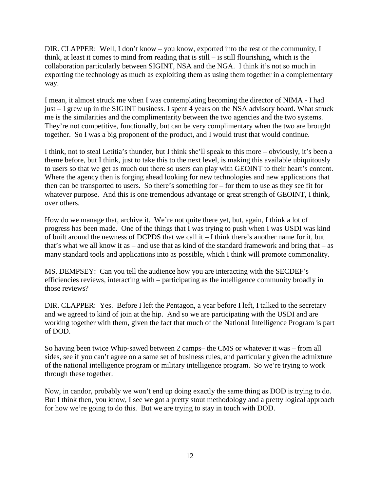DIR. CLAPPER: Well, I don't know – you know, exported into the rest of the community, I think, at least it comes to mind from reading that is still – is still flourishing, which is the collaboration particularly between SIGINT, NSA and the NGA. I think it's not so much in exporting the technology as much as exploiting them as using them together in a complementary way.

I mean, it almost struck me when I was contemplating becoming the director of NIMA - I had just – I grew up in the SIGINT business. I spent 4 years on the NSA advisory board. What struck me is the similarities and the complimentarity between the two agencies and the two systems. They're not competitive, functionally, but can be very complimentary when the two are brought together. So I was a big proponent of the product, and I would trust that would continue.

I think, not to steal Letitia's thunder, but I think she'll speak to this more – obviously, it's been a theme before, but I think, just to take this to the next level, is making this available ubiquitously to users so that we get as much out there so users can play with GEOINT to their heart's content. Where the agency then is forging ahead looking for new technologies and new applications that then can be transported to users. So there's something for – for them to use as they see fit for whatever purpose. And this is one tremendous advantage or great strength of GEOINT, I think, over others.

How do we manage that, archive it. We're not quite there yet, but, again, I think a lot of progress has been made. One of the things that I was trying to push when I was USDI was kind of built around the newness of DCPDS that we call it – I think there's another name for it, but that's what we all know it as – and use that as kind of the standard framework and bring that – as many standard tools and applications into as possible, which I think will promote commonality.

MS. DEMPSEY: Can you tell the audience how you are interacting with the SECDEF's efficiencies reviews, interacting with – participating as the intelligence community broadly in those reviews?

DIR. CLAPPER: Yes. Before I left the Pentagon, a year before I left, I talked to the secretary and we agreed to kind of join at the hip. And so we are participating with the USDI and are working together with them, given the fact that much of the National Intelligence Program is part of DOD.

So having been twice Whip-sawed between 2 camps– the CMS or whatever it was – from all sides, see if you can't agree on a same set of business rules, and particularly given the admixture of the national intelligence program or military intelligence program. So we're trying to work through these together.

Now, in candor, probably we won't end up doing exactly the same thing as DOD is trying to do. But I think then, you know, I see we got a pretty stout methodology and a pretty logical approach for how we're going to do this. But we are trying to stay in touch with DOD.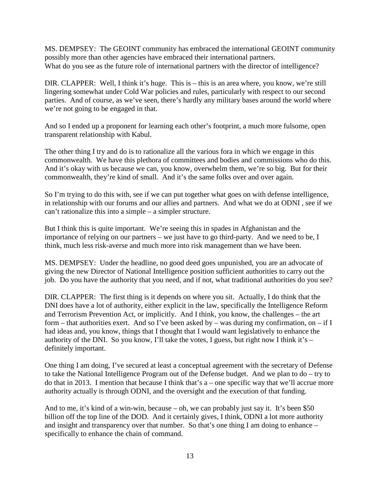MS. DEMPSEY: The GEOINT community has embraced the international GEOINT community possibly more than other agencies have embraced their international partners. What do you see as the future role of international partners with the director of intelligence?

DIR. CLAPPER: Well, I think it's huge. This is – this is an area where, you know, we're still lingering somewhat under Cold War policies and rules, particularly with respect to our second parties. And of course, as we've seen, there's hardly any military bases around the world where we're not going to be engaged in that.

And so I ended up a proponent for learning each other's footprint, a much more fulsome, open transparent relationship with Kabul.

The other thing I try and do is to rationalize all the various fora in which we engage in this commonwealth. We have this plethora of committees and bodies and commissions who do this. And it's okay with us because we can, you know, overwhelm them, we're so big. But for their commonwealth, they're kind of small. And it's the same folks over and over again.

So I'm trying to do this with, see if we can put together what goes on with defense intelligence, in relationship with our forums and our allies and partners. And what we do at ODNI , see if we can't rationalize this into a simple – a simpler structure.

But I think this is quite important. We're seeing this in spades in Afghanistan and the importance of relying on our partners – we just have to go third-party. And we need to be, I think, much less risk-averse and much more into risk management than we have been.

MS. DEMPSEY: Under the headline, no good deed goes unpunished, you are an advocate of giving the new Director of National Intelligence position sufficient authorities to carry out the job. Do you have the authority that you need, and if not, what traditional authorities do you see?

DIR. CLAPPER: The first thing is it depends on where you sit. Actually, I do think that the DNI does have a lot of authority, either explicit in the law, specifically the Intelligence Reform and Terrorism Prevention Act, or implicitly. And I think, you know, the challenges – the art form – that authorities exert. And so I've been asked by – was during my confirmation, on – if I had ideas and, you know, things that I thought that I would want legislatively to enhance the authority of the DNI. So you know, I'll take the votes, I guess, but right now I think it's – definitely important.

One thing I am doing, I've secured at least a conceptual agreement with the secretary of Defense to take the National Intelligence Program out of the Defense budget. And we plan to do – try to do that in 2013. I mention that because I think that's a – one specific way that we'll accrue more authority actually is through ODNI, and the oversight and the execution of that funding.

And to me, it's kind of a win-win, because – oh, we can probably just say it. It's been \$50 billion off the top line of the DOD. And it certainly gives, I think, ODNI a lot more authority and insight and transparency over that number. So that's one thing I am doing to enhance – specifically to enhance the chain of command.